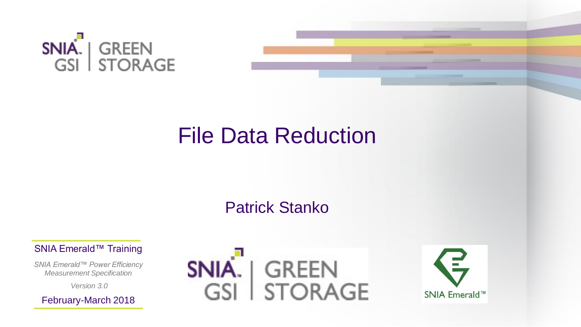

# File Data Reduction

### Patrick Stanko

SNIA Emerald™ Training

*SNIA Emerald™ Power Efficiency Measurement Specification*

*Version 3.0*

February-March 2018



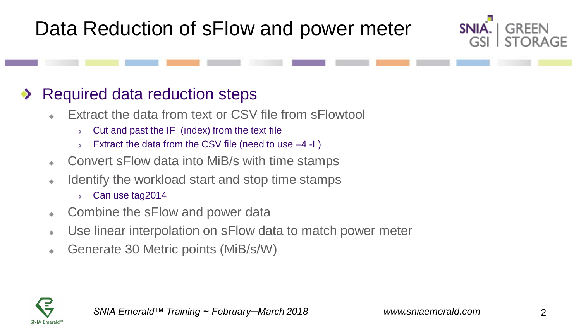# Data Reduction of sFlow and power meter

### Required data reduction steps

- Extract the data from text or CSV file from sFlowtool
	- Cut and past the IF\_(index) from the text file  $\sum$
	- Extract the data from the CSV file (need to use –4 -L)  $\sum$
- Convert sFlow data into MiB/s with time stamps  $\Phi$
- Identify the workload start and stop time stamps  $\Phi$ 
	- Can use tag2014  $\sum$
- Combine the sFlow and power data  $\Phi$
- Use linear interpolation on sFlow data to match power meter  $\Phi$
- Generate 30 Metric points (MiB/s/W)  $\frac{1}{2}$



SNIA.

GSI

GREEN

**STORAGE**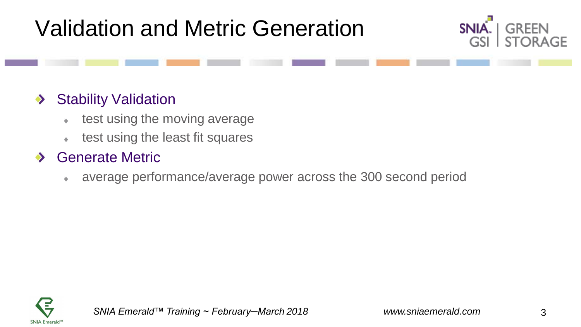# Validation and Metric Generation



#### Stability Validation ◆

- test using the moving average  $\bullet$
- test using the least fit squares  $\bullet$

#### Generate Metric  $\bullet$

average performance/average power across the 300 second period ۰

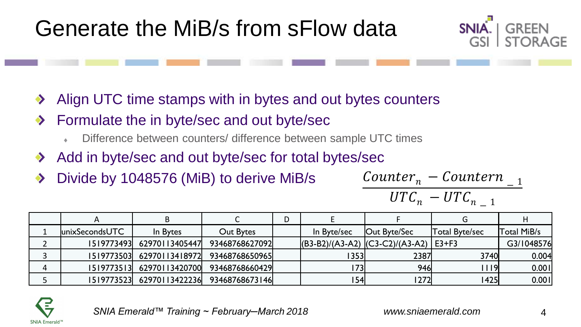

- Align UTC time stamps with in bytes and out bytes counters  $\blacktriangledown$
- Formulate the in byte/sec and out byte/sec  $\bullet$ 
	- Difference between counters/ difference between sample UTC times
- Add in byte/sec and out byte/sec for total bytes/sec  $\blacktriangleright$
- Divide by 1048576 (MiB) to derive MiB/s ◆

| $Counter_n - Counter_{n-1}$ |  |
|-----------------------------|--|
| $UTC_n - UTC_{n-1}$         |  |

|   | unixSecondsUTC | In Bytes       | Out Bytes      | In Byte/sec | <b>Out Byte/Sec</b>                   | Total Byte/sec | Total MiB/s |
|---|----------------|----------------|----------------|-------------|---------------------------------------|----------------|-------------|
|   | 1519773493     | 62970113405447 | 93468768627092 |             | $ (B3-B2)/(A3-A2)$ $ (C3-C2)/(A3-A2)$ | $E3+F3$        | G3/1048576  |
|   | 1519773503     | 62970113418972 | 93468768650965 | 353         | 2387                                  | <b>3740</b>    | 0.004       |
| 4 | 15197735131    | 62970113420700 | 93468768660429 |             | 946                                   | 119I           | 0.001       |
|   | 1519773523     | 62970113422236 | 93468768673146 | 154         | 1272                                  | 1425           | 0.001       |

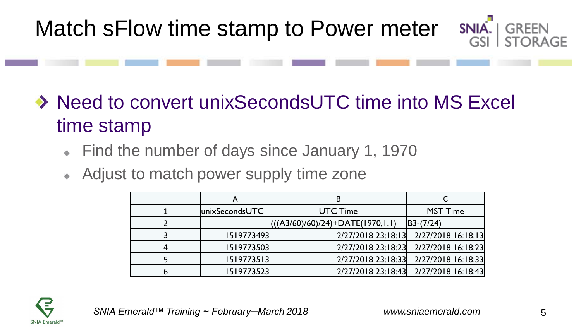- ◆ Need to convert unixSecondsUTC time into MS Excel time stamp
	- Find the number of days since January 1, 1970 ۰
	- Adjust to match power supply time zone ۰

| А              | R                                  |                                       |
|----------------|------------------------------------|---------------------------------------|
| unixSecondsUTC | <b>UTC Time</b>                    | <b>MST Time</b>                       |
|                | $(((A3/60)/60)/24)+DATE(1970,1,1)$ | $ B3-(7/24) $                         |
| 1519773493     |                                    | 2/27/2018 23:18:13 2/27/2018 16:18:13 |
| 1519773503     |                                    | 2/27/2018 23:18:23 2/27/2018 16:18:23 |
| 1519773513     |                                    | 2/27/2018 23:18:33 2/27/2018 16:18:33 |
| 1519773523     |                                    | 2/27/2018 23:18:43 2/27/2018 16:18:43 |



SNIA.

**GREEN**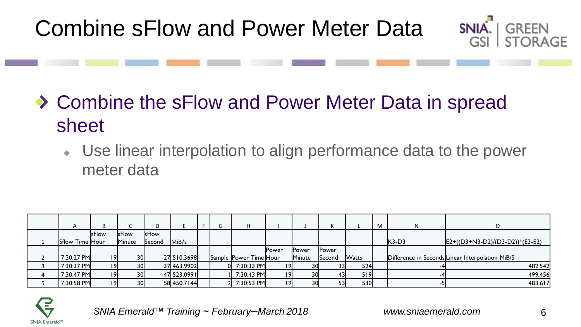Combine sFlow and Power Meter Data



Use linear interpolation to align performance data to the power  $\Phi$ meter data

| A               |              |              |        |             | G | H                      |               |        |              |              | M |         |                                                  |
|-----------------|--------------|--------------|--------|-------------|---|------------------------|---------------|--------|--------------|--------------|---|---------|--------------------------------------------------|
|                 | <b>sFlow</b> | <b>SFlow</b> | sFlow  |             |   |                        |               |        |              |              |   |         |                                                  |
| Sflow Time Hour |              | Minute       | Second | MiB/s       |   |                        |               |        |              |              |   | $K3-D3$ | $E2+((D3+N3-D2)/(D3-D2))*(E3-E2)$                |
|                 |              |              |        |             |   |                        | <b>IPower</b> | Power  | <b>Power</b> |              |   |         |                                                  |
| 7:30:27 PM      | 19           | 30           |        | 27 510.3698 |   | Sample Power Time Hour |               | Minute | Second       | <b>Watts</b> |   |         | Difference in Seconds Linear Interpolation MiB/S |
| 7:30:37 PM      | 9            | 30           |        | 37 463.9902 |   | $0$ 7:30:33 PM         | 19I           | 30     | 331          | 524          |   |         | 482.542                                          |
| 7:30:47 PM      | 9            | 30           |        | 47 523.0991 |   | 7:30:43 PM             | 19            | 30     |              | 519          |   |         | 499.456                                          |
| 7:30:58 PM      | 9            | 30           |        | 58 450.7144 |   | 2 7:30:53 PM           | 19            | 30     | 53I          | 530          |   |         | 483.617                                          |



SNIA.

GSL.

**GRFFN** 

**STORAGE**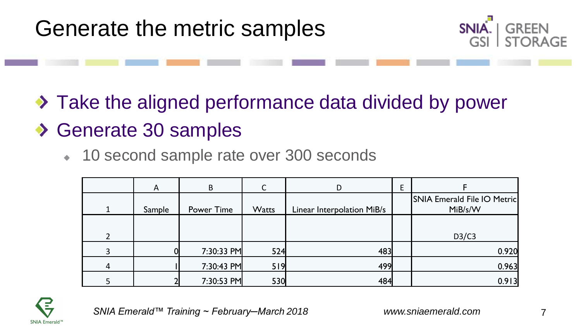

 $\rightarrow$  Take the aligned performance data divided by power

### ◆ Generate 30 samples

10 second sample rate over 300 seconds  $\Phi$  .

|                | A      | B.         |              |                            | Ε |                                        |
|----------------|--------|------------|--------------|----------------------------|---|----------------------------------------|
|                | Sample | Power Time | <b>Watts</b> | Linear Interpolation MiB/s |   | SNIA Emerald File IO Metric<br>MiB/s/W |
| $\mathfrak{p}$ |        |            |              |                            |   | D3/C3                                  |
| 3              |        | 7:30:33 PM | 524          | 483                        |   | 0.920                                  |
| 4              |        | 7:30:43 PM | 519          | 499                        |   | 0.963                                  |
|                |        | 7:30:53 PM | 530          | 484                        |   | 0.913                                  |

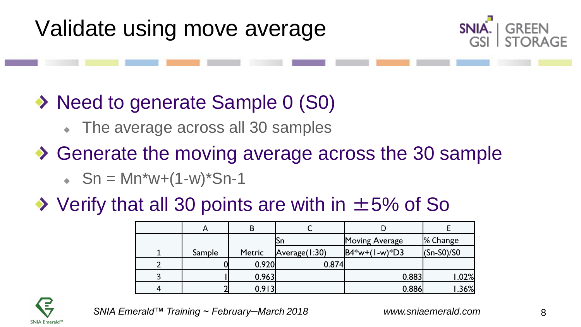



- ◆ Need to generate Sample 0 (S0)
	- The average across all 30 samples
- ◆ Generate the moving average across the 30 sample
	- $\cdot$  Sn = Mn\*w+(1-w)\*Sn-1

### $\rightarrow$  Verify that all 30 points are with in  $\pm$ 5% of So

| A      | В      |               |                   |                |
|--------|--------|---------------|-------------------|----------------|
|        |        | ιSη           | Moving Average    | % Change       |
| Sample | Metric | Average(1:30) | $ BA*w+(1-w)*D3 $ | $ $ (Sn-S0)/S0 |
|        | 0.920  | 0.874         |                   |                |
|        | 0.963  |               | 0.883             | 1.02%          |
|        | 0.913  |               | 0.886             | .36%           |

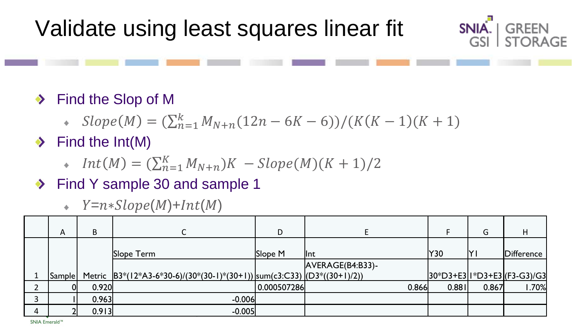

- ◆ Find the Slop of M
	- $Slope(M) = (\sum_{n=1}^{k} M_{N+n}(12n 6K 6))/(K(K 1)(K + 1))$
- $\blacktriangleright$  Find the Int(M)
	- $Int(M) = (\sum_{n=1}^{K} M_{N+n})K Slope(M)(K + 1)/2$
- ◆ Find Y sample 30 and sample 1
	- $\cdot$  Y=n\*Slope(M)+Int(M)

| A      | B     |                                                                            | D           |                  |       | G     | H                           |
|--------|-------|----------------------------------------------------------------------------|-------------|------------------|-------|-------|-----------------------------|
|        |       | Slope Term                                                                 | Slope M     | llnt             | Y30   | l۲۱   | Difference                  |
|        |       |                                                                            |             | AVERAGE(B4:B33)- |       |       |                             |
| Sample |       | Metric $ B3*(12*A3-6*30-6)/(30*(30-1)*(30+1)) sum(c3:C33) (D3*((30+1)/2))$ |             |                  |       |       | 30*D3+E3 I*D3+E3 (F3-G3)/G3 |
|        | 0.920 |                                                                            | 0.000507286 | 0.866            | 0.881 | 0.867 | 1.70%                       |
|        | 0.963 | $-0.006$                                                                   |             |                  |       |       |                             |
|        | 0.913 | $-0.005$                                                                   |             |                  |       |       |                             |

SNIA Emerald™